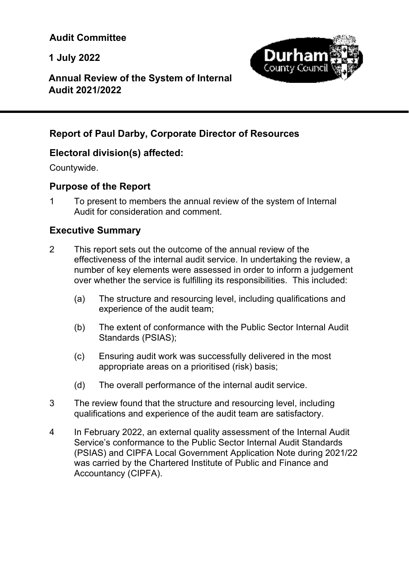**1 July 2022** 



# **Annual Review of the System of Internal Audit 2021/2022**

# **Report of Paul Darby, Corporate Director of Resources**

# **Electoral division(s) affected:**

Countywide.

l

# **Purpose of the Report**

1 To present to members the annual review of the system of Internal Audit for consideration and comment.

# **Executive Summary**

- 2 This report sets out the outcome of the annual review of the effectiveness of the internal audit service. In undertaking the review, a number of key elements were assessed in order to inform a judgement over whether the service is fulfilling its responsibilities. This included:
	- (a) The structure and resourcing level, including qualifications and experience of the audit team;
	- (b) The extent of conformance with the Public Sector Internal Audit Standards (PSIAS);
	- (c) Ensuring audit work was successfully delivered in the most appropriate areas on a prioritised (risk) basis;
	- (d) The overall performance of the internal audit service.
- 3 The review found that the structure and resourcing level, including qualifications and experience of the audit team are satisfactory.
- 4 In February 2022, an external quality assessment of the Internal Audit Service's conformance to the Public Sector Internal Audit Standards (PSIAS) and CIPFA Local Government Application Note during 2021/22 was carried by the Chartered Institute of Public and Finance and Accountancy (CIPFA).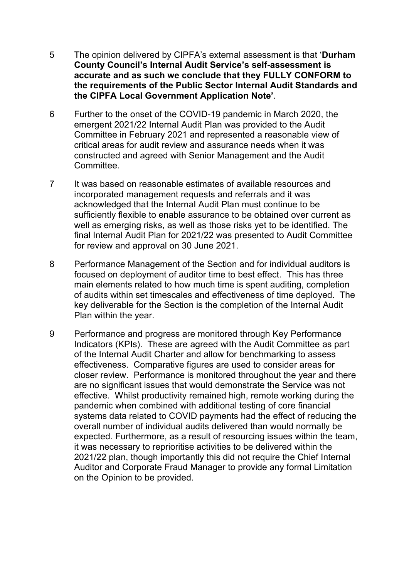- 5 The opinion delivered by CIPFA's external assessment is that '**Durham County Council's Internal Audit Service's self-assessment is accurate and as such we conclude that they FULLY CONFORM to the requirements of the Public Sector Internal Audit Standards and the CIPFA Local Government Application Note'**.
- 6 Further to the onset of the COVID-19 pandemic in March 2020, the emergent 2021/22 Internal Audit Plan was provided to the Audit Committee in February 2021 and represented a reasonable view of critical areas for audit review and assurance needs when it was constructed and agreed with Senior Management and the Audit Committee.
- 7 It was based on reasonable estimates of available resources and incorporated management requests and referrals and it was acknowledged that the Internal Audit Plan must continue to be sufficiently flexible to enable assurance to be obtained over current as well as emerging risks, as well as those risks yet to be identified. The final Internal Audit Plan for 2021/22 was presented to Audit Committee for review and approval on 30 June 2021.
- 8 Performance Management of the Section and for individual auditors is focused on deployment of auditor time to best effect. This has three main elements related to how much time is spent auditing, completion of audits within set timescales and effectiveness of time deployed. The key deliverable for the Section is the completion of the Internal Audit Plan within the year.
- 9 Performance and progress are monitored through Key Performance Indicators (KPIs). These are agreed with the Audit Committee as part of the Internal Audit Charter and allow for benchmarking to assess effectiveness. Comparative figures are used to consider areas for closer review. Performance is monitored throughout the year and there are no significant issues that would demonstrate the Service was not effective. Whilst productivity remained high, remote working during the pandemic when combined with additional testing of core financial systems data related to COVID payments had the effect of reducing the overall number of individual audits delivered than would normally be expected. Furthermore, as a result of resourcing issues within the team, it was necessary to reprioritise activities to be delivered within the 2021/22 plan, though importantly this did not require the Chief Internal Auditor and Corporate Fraud Manager to provide any formal Limitation on the Opinion to be provided.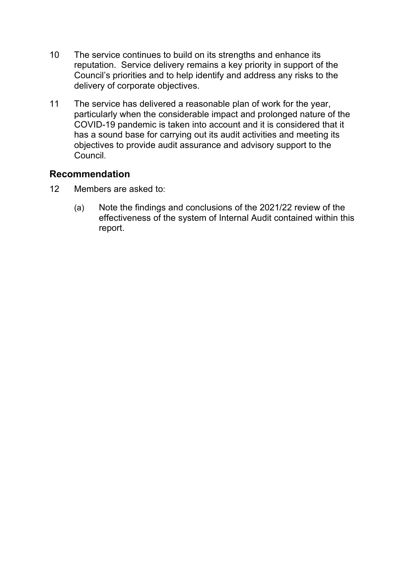- 10 The service continues to build on its strengths and enhance its reputation. Service delivery remains a key priority in support of the Council's priorities and to help identify and address any risks to the delivery of corporate objectives.
- 11 The service has delivered a reasonable plan of work for the year, particularly when the considerable impact and prolonged nature of the COVID-19 pandemic is taken into account and it is considered that it has a sound base for carrying out its audit activities and meeting its objectives to provide audit assurance and advisory support to the **Council**

# **Recommendation**

- 12 Members are asked to:
	- (a) Note the findings and conclusions of the 2021/22 review of the effectiveness of the system of Internal Audit contained within this report.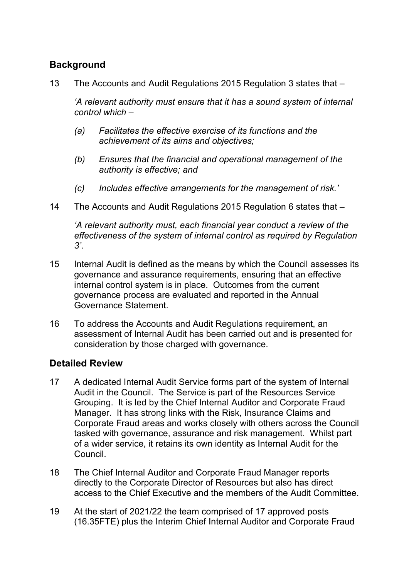# **Background**

13 The Accounts and Audit Regulations 2015 Regulation 3 states that –

*'A relevant authority must ensure that it has a sound system of internal control which –* 

- *(a) Facilitates the effective exercise of its functions and the achievement of its aims and objectives;*
- *(b) Ensures that the financial and operational management of the authority is effective; and*
- *(c) Includes effective arrangements for the management of risk.'*
- 14 The Accounts and Audit Regulations 2015 Regulation 6 states that –

*'A relevant authority must, each financial year conduct a review of the effectiveness of the system of internal control as required by Regulation 3'*.

- 15 Internal Audit is defined as the means by which the Council assesses its governance and assurance requirements, ensuring that an effective internal control system is in place. Outcomes from the current governance process are evaluated and reported in the Annual Governance Statement.
- 16 To address the Accounts and Audit Regulations requirement, an assessment of Internal Audit has been carried out and is presented for consideration by those charged with governance.

# **Detailed Review**

- 17 A dedicated Internal Audit Service forms part of the system of Internal Audit in the Council. The Service is part of the Resources Service Grouping. It is led by the Chief Internal Auditor and Corporate Fraud Manager. It has strong links with the Risk, Insurance Claims and Corporate Fraud areas and works closely with others across the Council tasked with governance, assurance and risk management. Whilst part of a wider service, it retains its own identity as Internal Audit for the Council.
- 18 The Chief Internal Auditor and Corporate Fraud Manager reports directly to the Corporate Director of Resources but also has direct access to the Chief Executive and the members of the Audit Committee.
- 19 At the start of 2021/22 the team comprised of 17 approved posts (16.35FTE) plus the Interim Chief Internal Auditor and Corporate Fraud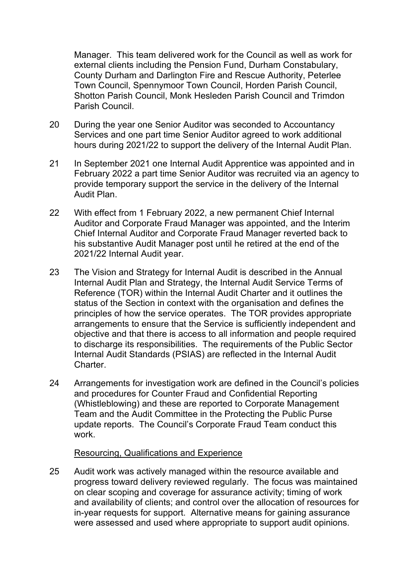Manager. This team delivered work for the Council as well as work for external clients including the Pension Fund, Durham Constabulary, County Durham and Darlington Fire and Rescue Authority, Peterlee Town Council, Spennymoor Town Council, Horden Parish Council, Shotton Parish Council, Monk Hesleden Parish Council and Trimdon Parish Council.

- 20 During the year one Senior Auditor was seconded to Accountancy Services and one part time Senior Auditor agreed to work additional hours during 2021/22 to support the delivery of the Internal Audit Plan.
- 21 In September 2021 one Internal Audit Apprentice was appointed and in February 2022 a part time Senior Auditor was recruited via an agency to provide temporary support the service in the delivery of the Internal Audit Plan.
- 22 With effect from 1 February 2022, a new permanent Chief Internal Auditor and Corporate Fraud Manager was appointed, and the Interim Chief Internal Auditor and Corporate Fraud Manager reverted back to his substantive Audit Manager post until he retired at the end of the 2021/22 Internal Audit year.
- 23 The Vision and Strategy for Internal Audit is described in the Annual Internal Audit Plan and Strategy, the Internal Audit Service Terms of Reference (TOR) within the Internal Audit Charter and it outlines the status of the Section in context with the organisation and defines the principles of how the service operates. The TOR provides appropriate arrangements to ensure that the Service is sufficiently independent and objective and that there is access to all information and people required to discharge its responsibilities. The requirements of the Public Sector Internal Audit Standards (PSIAS) are reflected in the Internal Audit Charter.
- 24 Arrangements for investigation work are defined in the Council's policies and procedures for Counter Fraud and Confidential Reporting (Whistleblowing) and these are reported to Corporate Management Team and the Audit Committee in the Protecting the Public Purse update reports. The Council's Corporate Fraud Team conduct this work.

## Resourcing, Qualifications and Experience

25 Audit work was actively managed within the resource available and progress toward delivery reviewed regularly. The focus was maintained on clear scoping and coverage for assurance activity; timing of work and availability of clients; and control over the allocation of resources for in-year requests for support. Alternative means for gaining assurance were assessed and used where appropriate to support audit opinions.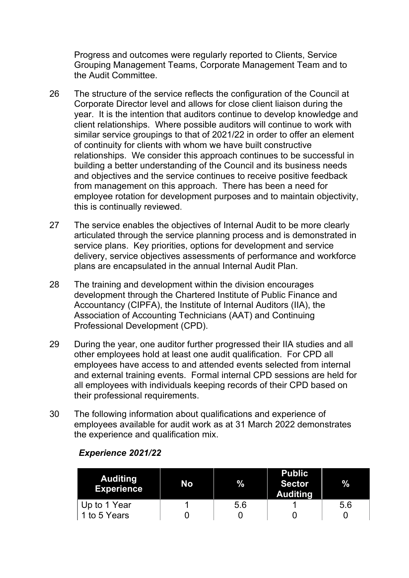Progress and outcomes were regularly reported to Clients, Service Grouping Management Teams, Corporate Management Team and to the Audit Committee.

- 26 The structure of the service reflects the configuration of the Council at Corporate Director level and allows for close client liaison during the year. It is the intention that auditors continue to develop knowledge and client relationships. Where possible auditors will continue to work with similar service groupings to that of 2021/22 in order to offer an element of continuity for clients with whom we have built constructive relationships. We consider this approach continues to be successful in building a better understanding of the Council and its business needs and objectives and the service continues to receive positive feedback from management on this approach. There has been a need for employee rotation for development purposes and to maintain objectivity, this is continually reviewed.
- 27 The service enables the objectives of Internal Audit to be more clearly articulated through the service planning process and is demonstrated in service plans. Key priorities, options for development and service delivery, service objectives assessments of performance and workforce plans are encapsulated in the annual Internal Audit Plan.
- 28 The training and development within the division encourages development through the Chartered Institute of Public Finance and Accountancy (CIPFA), the Institute of Internal Auditors (IIA), the Association of Accounting Technicians (AAT) and Continuing Professional Development (CPD).
- 29 During the year, one auditor further progressed their IIA studies and all other employees hold at least one audit qualification. For CPD all employees have access to and attended events selected from internal and external training events. Formal internal CPD sessions are held for all employees with individuals keeping records of their CPD based on their professional requirements.
- 30 The following information about qualifications and experience of employees available for audit work as at 31 March 2022 demonstrates the experience and qualification mix.

| <b>Auditing</b><br><b>Experience</b> | No | $\%$ | <b>Public</b><br><b>Sector</b><br><b>Auditing</b> | %   |
|--------------------------------------|----|------|---------------------------------------------------|-----|
| Up to 1 Year                         |    | 5.6  |                                                   | 5.6 |
| 1 to 5 Years                         |    |      |                                                   |     |

## *Experience 2021/22*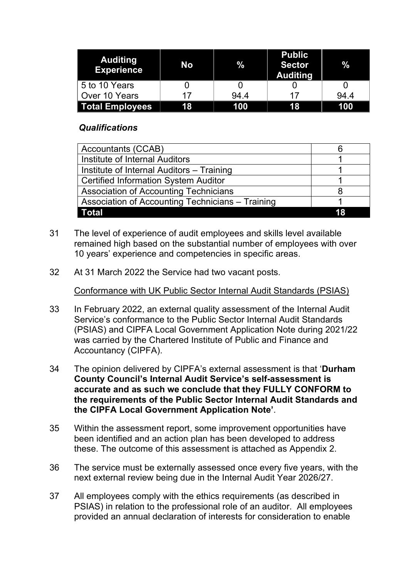| Auditing<br><b>Experience</b> | No | %    | <b>Public</b><br><b>Sector</b><br><b>Auditing</b> | $\%$ |
|-------------------------------|----|------|---------------------------------------------------|------|
| 5 to 10 Years                 |    |      |                                                   |      |
| Over 10 Years                 | 17 | 94.4 |                                                   | 94.4 |
| <b>Total Employees</b>        | 18 | 100  | 18                                                | 100  |

## *Qualifications*

| <b>Accountants (CCAB)</b>                        |  |
|--------------------------------------------------|--|
| Institute of Internal Auditors                   |  |
| Institute of Internal Auditors – Training        |  |
| <b>Certified Information System Auditor</b>      |  |
| <b>Association of Accounting Technicians</b>     |  |
| Association of Accounting Technicians - Training |  |
| <b>Total</b>                                     |  |

- 31 The level of experience of audit employees and skills level available remained high based on the substantial number of employees with over 10 years' experience and competencies in specific areas.
- 32 At 31 March 2022 the Service had two vacant posts.

Conformance with UK Public Sector Internal Audit Standards (PSIAS)

- 33 In February 2022, an external quality assessment of the Internal Audit Service's conformance to the Public Sector Internal Audit Standards (PSIAS) and CIPFA Local Government Application Note during 2021/22 was carried by the Chartered Institute of Public and Finance and Accountancy (CIPFA).
- 34 The opinion delivered by CIPFA's external assessment is that '**Durham County Council's Internal Audit Service's self-assessment is accurate and as such we conclude that they FULLY CONFORM to the requirements of the Public Sector Internal Audit Standards and the CIPFA Local Government Application Note'**.
- 35 Within the assessment report, some improvement opportunities have been identified and an action plan has been developed to address these. The outcome of this assessment is attached as Appendix 2.
- 36 The service must be externally assessed once every five years, with the next external review being due in the Internal Audit Year 2026/27.
- 37 All employees comply with the ethics requirements (as described in PSIAS) in relation to the professional role of an auditor. All employees provided an annual declaration of interests for consideration to enable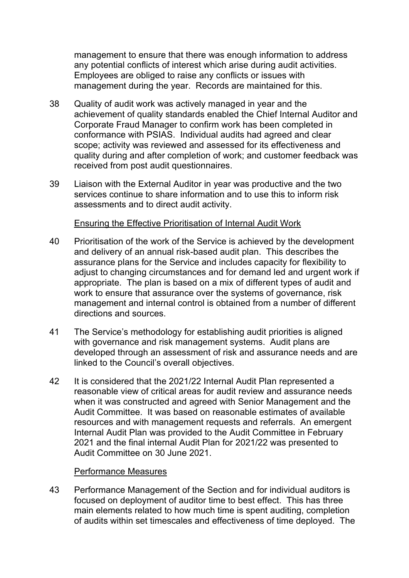management to ensure that there was enough information to address any potential conflicts of interest which arise during audit activities. Employees are obliged to raise any conflicts or issues with management during the year. Records are maintained for this.

- 38 Quality of audit work was actively managed in year and the achievement of quality standards enabled the Chief Internal Auditor and Corporate Fraud Manager to confirm work has been completed in conformance with PSIAS. Individual audits had agreed and clear scope; activity was reviewed and assessed for its effectiveness and quality during and after completion of work; and customer feedback was received from post audit questionnaires.
- 39 Liaison with the External Auditor in year was productive and the two services continue to share information and to use this to inform risk assessments and to direct audit activity.

## Ensuring the Effective Prioritisation of Internal Audit Work

- 40 Prioritisation of the work of the Service is achieved by the development and delivery of an annual risk-based audit plan. This describes the assurance plans for the Service and includes capacity for flexibility to adjust to changing circumstances and for demand led and urgent work if appropriate. The plan is based on a mix of different types of audit and work to ensure that assurance over the systems of governance, risk management and internal control is obtained from a number of different directions and sources.
- 41 The Service's methodology for establishing audit priorities is aligned with governance and risk management systems. Audit plans are developed through an assessment of risk and assurance needs and are linked to the Council's overall objectives.
- 42 It is considered that the 2021/22 Internal Audit Plan represented a reasonable view of critical areas for audit review and assurance needs when it was constructed and agreed with Senior Management and the Audit Committee. It was based on reasonable estimates of available resources and with management requests and referrals. An emergent Internal Audit Plan was provided to the Audit Committee in February 2021 and the final internal Audit Plan for 2021/22 was presented to Audit Committee on 30 June 2021.

## Performance Measures

43 Performance Management of the Section and for individual auditors is focused on deployment of auditor time to best effect. This has three main elements related to how much time is spent auditing, completion of audits within set timescales and effectiveness of time deployed. The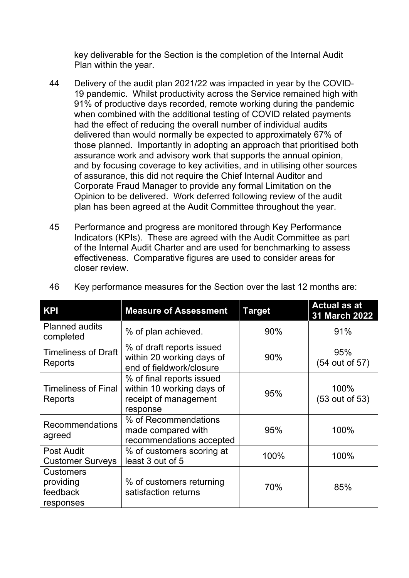key deliverable for the Section is the completion of the Internal Audit Plan within the year.

- 44 Delivery of the audit plan 2021/22 was impacted in year by the COVID-19 pandemic. Whilst productivity across the Service remained high with 91% of productive days recorded, remote working during the pandemic when combined with the additional testing of COVID related payments had the effect of reducing the overall number of individual audits delivered than would normally be expected to approximately 67% of those planned. Importantly in adopting an approach that prioritised both assurance work and advisory work that supports the annual opinion, and by focusing coverage to key activities, and in utilising other sources of assurance, this did not require the Chief Internal Auditor and Corporate Fraud Manager to provide any formal Limitation on the Opinion to be delivered. Work deferred following review of the audit plan has been agreed at the Audit Committee throughout the year.
- 45 Performance and progress are monitored through Key Performance Indicators (KPIs). These are agreed with the Audit Committee as part of the Internal Audit Charter and are used for benchmarking to assess effectiveness. Comparative figures are used to consider areas for closer review.

| <b>KPI</b>                                             | <b>Measure of Assessment</b>                                                                | <b>Target</b> | <b>Actual as at</b><br>31 March 2022 |
|--------------------------------------------------------|---------------------------------------------------------------------------------------------|---------------|--------------------------------------|
| <b>Planned audits</b><br>completed                     | % of plan achieved.                                                                         | 90%           | 91%                                  |
| <b>Timeliness of Draft</b><br>Reports                  | % of draft reports issued<br>within 20 working days of<br>end of fieldwork/closure          | 90%           | 95%<br>(54 out of 57)                |
| <b>Timeliness of Final</b><br>Reports                  | % of final reports issued<br>within 10 working days of<br>receipt of management<br>response | 95%           | 100%<br>(53 out of 53)               |
| <b>Recommendations</b><br>agreed                       | % of Recommendations<br>made compared with<br>recommendations accepted                      | 95%           | 100%                                 |
| <b>Post Audit</b><br><b>Customer Surveys</b>           | % of customers scoring at<br>least 3 out of 5                                               | 100%          | 100%                                 |
| <b>Customers</b><br>providing<br>feedback<br>responses | % of customers returning<br>satisfaction returns                                            | 70%           | 85%                                  |

46 Key performance measures for the Section over the last 12 months are: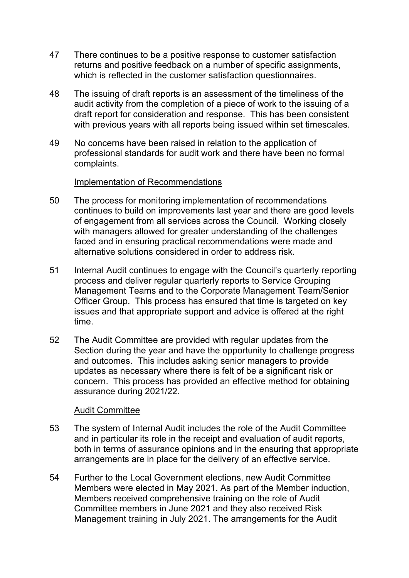- 47 There continues to be a positive response to customer satisfaction returns and positive feedback on a number of specific assignments, which is reflected in the customer satisfaction questionnaires.
- 48 The issuing of draft reports is an assessment of the timeliness of the audit activity from the completion of a piece of work to the issuing of a draft report for consideration and response. This has been consistent with previous years with all reports being issued within set timescales.
- 49 No concerns have been raised in relation to the application of professional standards for audit work and there have been no formal complaints.

## Implementation of Recommendations

- 50 The process for monitoring implementation of recommendations continues to build on improvements last year and there are good levels of engagement from all services across the Council. Working closely with managers allowed for greater understanding of the challenges faced and in ensuring practical recommendations were made and alternative solutions considered in order to address risk.
- 51 Internal Audit continues to engage with the Council's quarterly reporting process and deliver regular quarterly reports to Service Grouping Management Teams and to the Corporate Management Team/Senior Officer Group. This process has ensured that time is targeted on key issues and that appropriate support and advice is offered at the right time.
- 52 The Audit Committee are provided with regular updates from the Section during the year and have the opportunity to challenge progress and outcomes. This includes asking senior managers to provide updates as necessary where there is felt of be a significant risk or concern. This process has provided an effective method for obtaining assurance during 2021/22.

## Audit Committee

- 53 The system of Internal Audit includes the role of the Audit Committee and in particular its role in the receipt and evaluation of audit reports, both in terms of assurance opinions and in the ensuring that appropriate arrangements are in place for the delivery of an effective service.
- 54 Further to the Local Government elections, new Audit Committee Members were elected in May 2021. As part of the Member induction, Members received comprehensive training on the role of Audit Committee members in June 2021 and they also received Risk Management training in July 2021. The arrangements for the Audit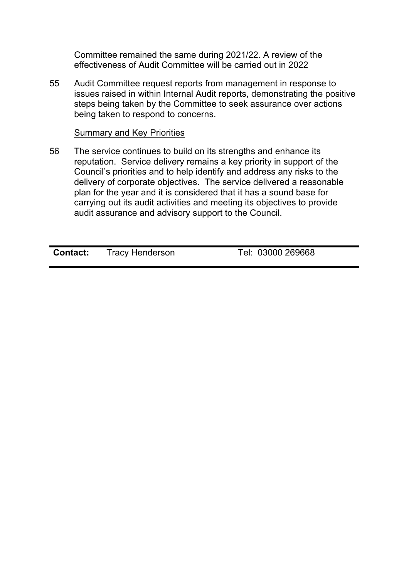Committee remained the same during 2021/22. A review of the effectiveness of Audit Committee will be carried out in 2022

55 Audit Committee request reports from management in response to issues raised in within Internal Audit reports, demonstrating the positive steps being taken by the Committee to seek assurance over actions being taken to respond to concerns.

## Summary and Key Priorities

56 The service continues to build on its strengths and enhance its reputation. Service delivery remains a key priority in support of the Council's priorities and to help identify and address any risks to the delivery of corporate objectives. The service delivered a reasonable plan for the year and it is considered that it has a sound base for carrying out its audit activities and meeting its objectives to provide audit assurance and advisory support to the Council.

**Contact:** Tracy Henderson Tel: 03000 269668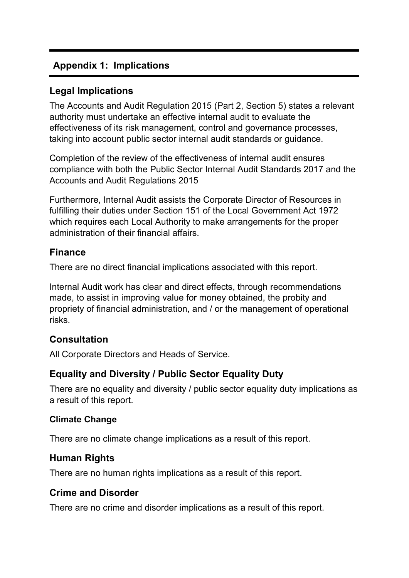# **Appendix 1: Implications**

# **Legal Implications**

The Accounts and Audit Regulation 2015 (Part 2, Section 5) states a relevant authority must undertake an effective internal audit to evaluate the effectiveness of its risk management, control and governance processes, taking into account public sector internal audit standards or guidance.

Completion of the review of the effectiveness of internal audit ensures compliance with both the Public Sector Internal Audit Standards 2017 and the Accounts and Audit Regulations 2015

Furthermore, Internal Audit assists the Corporate Director of Resources in fulfilling their duties under Section 151 of the Local Government Act 1972 which requires each Local Authority to make arrangements for the proper administration of their financial affairs.

# **Finance**

There are no direct financial implications associated with this report.

Internal Audit work has clear and direct effects, through recommendations made, to assist in improving value for money obtained, the probity and propriety of financial administration, and / or the management of operational risks.

# **Consultation**

All Corporate Directors and Heads of Service.

# **Equality and Diversity / Public Sector Equality Duty**

There are no equality and diversity / public sector equality duty implications as a result of this report.

## **Climate Change**

There are no climate change implications as a result of this report.

# **Human Rights**

There are no human rights implications as a result of this report.

# **Crime and Disorder**

There are no crime and disorder implications as a result of this report.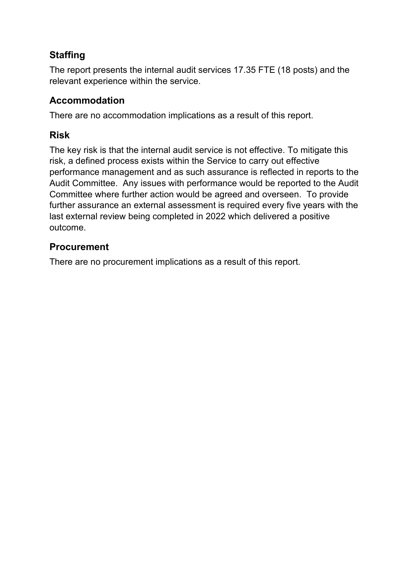# **Staffing**

The report presents the internal audit services 17.35 FTE (18 posts) and the relevant experience within the service.

# **Accommodation**

There are no accommodation implications as a result of this report.

# **Risk**

The key risk is that the internal audit service is not effective. To mitigate this risk, a defined process exists within the Service to carry out effective performance management and as such assurance is reflected in reports to the Audit Committee. Any issues with performance would be reported to the Audit Committee where further action would be agreed and overseen. To provide further assurance an external assessment is required every five years with the last external review being completed in 2022 which delivered a positive outcome.

# **Procurement**

There are no procurement implications as a result of this report.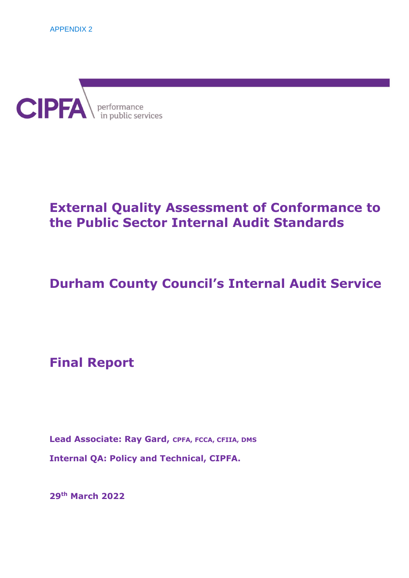

# **External Quality Assessment of Conformance to the Public Sector Internal Audit Standards**

# **Durham County Council's Internal Audit Service**

**Final Report** 

Lead Associate: Ray Gard, CPFA, FCCA, CFIIA, DMS **Internal QA: Policy and Technical, CIPFA.** 

**29th March 2022**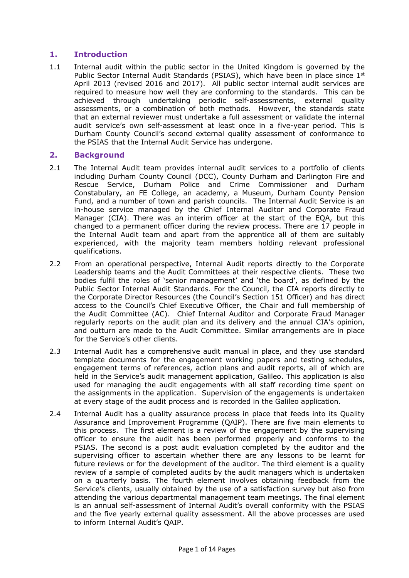## **1. Introduction**

1.1 Internal audit within the public sector in the United Kingdom is governed by the Public Sector Internal Audit Standards (PSIAS), which have been in place since 1st April 2013 (revised 2016 and 2017). All public sector internal audit services are required to measure how well they are conforming to the standards. This can be achieved through undertaking periodic self-assessments, external quality assessments, or a combination of both methods. However, the standards state that an external reviewer must undertake a full assessment or validate the internal audit service's own self-assessment at least once in a five-year period. This is Durham County Council's second external quality assessment of conformance to the PSIAS that the Internal Audit Service has undergone.

## **2. Background**

- 2.1 The Internal Audit team provides internal audit services to a portfolio of clients including Durham County Council (DCC), County Durham and Darlington Fire and Rescue Service, Durham Police and Crime Commissioner and Durham Constabulary, an FE College, an academy, a Museum, Durham County Pension Fund, and a number of town and parish councils. The Internal Audit Service is an in-house service managed by the Chief Internal Auditor and Corporate Fraud Manager (CIA). There was an interim officer at the start of the EQA, but this changed to a permanent officer during the review process. There are 17 people in the Internal Audit team and apart from the apprentice all of them are suitably experienced, with the majority team members holding relevant professional qualifications.
- 2.2 From an operational perspective, Internal Audit reports directly to the Corporate Leadership teams and the Audit Committees at their respective clients. These two bodies fulfil the roles of 'senior management' and 'the board', as defined by the Public Sector Internal Audit Standards. For the Council, the CIA reports directly to the Corporate Director Resources (the Council's Section 151 Officer) and has direct access to the Council's Chief Executive Officer, the Chair and full membership of the Audit Committee (AC). Chief Internal Auditor and Corporate Fraud Manager regularly reports on the audit plan and its delivery and the annual CIA's opinion, and outturn are made to the Audit Committee. Similar arrangements are in place for the Service's other clients.
- 2.3 Internal Audit has a comprehensive audit manual in place, and they use standard template documents for the engagement working papers and testing schedules, engagement terms of references, action plans and audit reports, all of which are held in the Service's audit management application, Galileo. This application is also used for managing the audit engagements with all staff recording time spent on the assignments in the application. Supervision of the engagements is undertaken at every stage of the audit process and is recorded in the Galileo application.
- 2.4 Internal Audit has a quality assurance process in place that feeds into its Quality Assurance and Improvement Programme (QAIP). There are five main elements to this process. The first element is a review of the engagement by the supervising officer to ensure the audit has been performed properly and conforms to the PSIAS. The second is a post audit evaluation completed by the auditor and the supervising officer to ascertain whether there are any lessons to be learnt for future reviews or for the development of the auditor. The third element is a quality review of a sample of completed audits by the audit managers which is undertaken on a quarterly basis. The fourth element involves obtaining feedback from the Service's clients, usually obtained by the use of a satisfaction survey but also from attending the various departmental management team meetings. The final element is an annual self-assessment of Internal Audit's overall conformity with the PSIAS and the five yearly external quality assessment. All the above processes are used to inform Internal Audit's QAIP.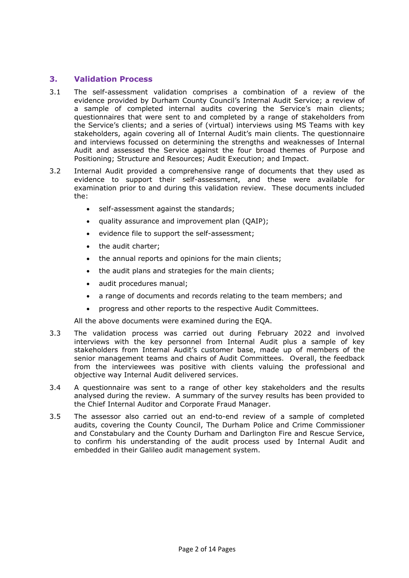## **3. Validation Process**

- 3.1 The self-assessment validation comprises a combination of a review of the evidence provided by Durham County Council's Internal Audit Service; a review of a sample of completed internal audits covering the Service's main clients; questionnaires that were sent to and completed by a range of stakeholders from the Service's clients; and a series of (virtual) interviews using MS Teams with key stakeholders, again covering all of Internal Audit's main clients. The questionnaire and interviews focussed on determining the strengths and weaknesses of Internal Audit and assessed the Service against the four broad themes of Purpose and Positioning; Structure and Resources; Audit Execution; and Impact.
- 3.2 Internal Audit provided a comprehensive range of documents that they used as evidence to support their self-assessment, and these were available for examination prior to and during this validation review. These documents included the:
	- self-assessment against the standards;
	- quality assurance and improvement plan (QAIP);
	- evidence file to support the self-assessment;
	- the audit charter;
	- the annual reports and opinions for the main clients;
	- the audit plans and strategies for the main clients;
	- audit procedures manual;
	- a range of documents and records relating to the team members; and
	- progress and other reports to the respective Audit Committees.

All the above documents were examined during the EQA.

- 3.3 The validation process was carried out during February 2022 and involved interviews with the key personnel from Internal Audit plus a sample of key stakeholders from Internal Audit's customer base, made up of members of the senior management teams and chairs of Audit Committees. Overall, the feedback from the interviewees was positive with clients valuing the professional and objective way Internal Audit delivered services.
- 3.4 A questionnaire was sent to a range of other key stakeholders and the results analysed during the review. A summary of the survey results has been provided to the Chief Internal Auditor and Corporate Fraud Manager.
- 3.5 The assessor also carried out an end-to-end review of a sample of completed audits, covering the County Council, The Durham Police and Crime Commissioner and Constabulary and the County Durham and Darlington Fire and Rescue Service, to confirm his understanding of the audit process used by Internal Audit and embedded in their Galileo audit management system.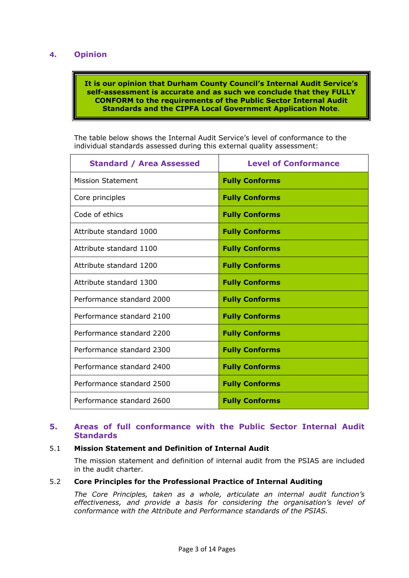## **4. Opinion**

### **It is our opinion that Durham County Council's Internal Audit Service's self-assessment is accurate and as such we conclude that they FULLY CONFORM to the requirements of the Public Sector Internal Audit Standards and the CIPFA Local Government Application Note**.

The table below shows the Internal Audit Service's level of conformance to the individual standards assessed during this external quality assessment:

| <b>Standard / Area Assessed</b> | <b>Level of Conformance</b> |
|---------------------------------|-----------------------------|
| <b>Mission Statement</b>        | <b>Fully Conforms</b>       |
| Core principles                 | <b>Fully Conforms</b>       |
| Code of ethics                  | <b>Fully Conforms</b>       |
| Attribute standard 1000         | <b>Fully Conforms</b>       |
| Attribute standard 1100         | <b>Fully Conforms</b>       |
| Attribute standard 1200         | <b>Fully Conforms</b>       |
| Attribute standard 1300         | <b>Fully Conforms</b>       |
| Performance standard 2000       | <b>Fully Conforms</b>       |
| Performance standard 2100       | <b>Fully Conforms</b>       |
| Performance standard 2200       | <b>Fully Conforms</b>       |
| Performance standard 2300       | <b>Fully Conforms</b>       |
| Performance standard 2400       | <b>Fully Conforms</b>       |
| Performance standard 2500       | <b>Fully Conforms</b>       |
| Performance standard 2600       | <b>Fully Conforms</b>       |

## **5. Areas of full conformance with the Public Sector Internal Audit Standards**

## 5.1 **Mission Statement and Definition of Internal Audit**

The mission statement and definition of internal audit from the PSIAS are included in the audit charter.

#### 5.2 **Core Principles for the Professional Practice of Internal Auditing**

*The Core Principles, taken as a whole, articulate an internal audit function's effectiveness, and provide a basis for considering the organisation's level of conformance with the Attribute and Performance standards of the PSIAS.*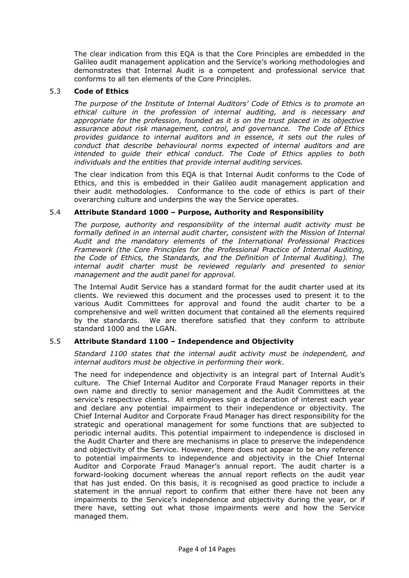The clear indication from this EQA is that the Core Principles are embedded in the Galileo audit management application and the Service's working methodologies and demonstrates that Internal Audit is a competent and professional service that conforms to all ten elements of the Core Principles.

#### 5.3 **Code of Ethics**

*The purpose of the Institute of Internal Auditors' Code of Ethics is to promote an ethical culture in the profession of internal auditing, and is necessary and appropriate for the profession, founded as it is on the trust placed in its objective assurance about risk management, control, and governance. The Code of Ethics provides guidance to internal auditors and in essence, it sets out the rules of conduct that describe behavioural norms expected of internal auditors and are intended to guide their ethical conduct. The Code of Ethics applies to both individuals and the entities that provide internal auditing services.* 

The clear indication from this EQA is that Internal Audit conforms to the Code of Ethics, and this is embedded in their Galileo audit management application and their audit methodologies. Conformance to the code of ethics is part of their overarching culture and underpins the way the Service operates.

### 5.4 **Attribute Standard 1000 – Purpose, Authority and Responsibility**

*The purpose, authority and responsibility of the internal audit activity must be*  formally defined in an internal audit charter, consistent with the Mission of Internal *Audit and the mandatory elements of the International Professional Practices Framework (the Core Principles for the Professional Practice of Internal Auditing, the Code of Ethics, the Standards, and the Definition of Internal Auditing). The internal audit charter must be reviewed regularly and presented to senior management and the audit panel for approval.* 

The Internal Audit Service has a standard format for the audit charter used at its clients. We reviewed this document and the processes used to present it to the various Audit Committees for approval and found the audit charter to be a comprehensive and well written document that contained all the elements required by the standards. We are therefore satisfied that they conform to attribute standard 1000 and the LGAN.

## 5.5 **Attribute Standard 1100 – Independence and Objectivity**

*Standard 1100 states that the internal audit activity must be independent, and internal auditors must be objective in performing their work*.

The need for independence and objectivity is an integral part of Internal Audit's culture. The Chief Internal Auditor and Corporate Fraud Manager reports in their own name and directly to senior management and the Audit Committees at the service's respective clients. All employees sign a declaration of interest each year and declare any potential impairment to their independence or objectivity. The Chief Internal Auditor and Corporate Fraud Manager has direct responsibility for the strategic and operational management for some functions that are subjected to periodic internal audits. This potential impairment to independence is disclosed in the Audit Charter and there are mechanisms in place to preserve the independence and objectivity of the Service. However, there does not appear to be any reference to potential impairments to independence and objectivity in the Chief Internal Auditor and Corporate Fraud Manager's annual report. The audit charter is a forward-looking document whereas the annual report reflects on the audit year that has just ended. On this basis, it is recognised as good practice to include a statement in the annual report to confirm that either there have not been any impairments to the Service's independence and objectivity during the year, or if there have, setting out what those impairments were and how the Service managed them.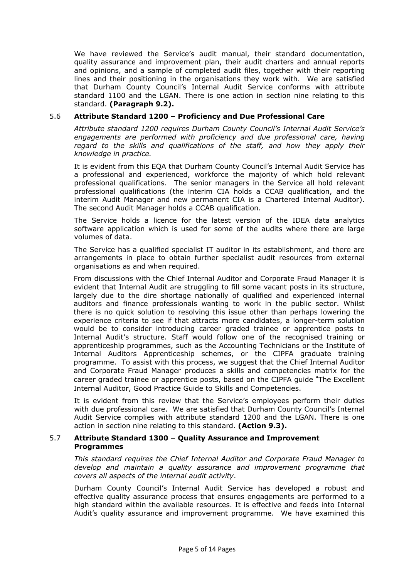We have reviewed the Service's audit manual, their standard documentation, quality assurance and improvement plan, their audit charters and annual reports and opinions, and a sample of completed audit files, together with their reporting lines and their positioning in the organisations they work with. We are satisfied that Durham County Council's Internal Audit Service conforms with attribute standard 1100 and the LGAN. There is one action in section nine relating to this standard. **(Paragraph 9.2).**

## 5.6 **Attribute Standard 1200 – Proficiency and Due Professional Care**

*Attribute standard 1200 requires Durham County Council's Internal Audit Service's engagements are performed with proficiency and due professional care, having*  regard to the skills and qualifications of the staff, and how they apply their *knowledge in practice.* 

It is evident from this EQA that Durham County Council's Internal Audit Service has a professional and experienced, workforce the majority of which hold relevant professional qualifications. The senior managers in the Service all hold relevant professional qualifications (the interim CIA holds a CCAB qualification, and the interim Audit Manager and new permanent CIA is a Chartered Internal Auditor). The second Audit Manager holds a CCAB qualification.

The Service holds a licence for the latest version of the IDEA data analytics software application which is used for some of the audits where there are large volumes of data.

The Service has a qualified specialist IT auditor in its establishment, and there are arrangements in place to obtain further specialist audit resources from external organisations as and when required.

From discussions with the Chief Internal Auditor and Corporate Fraud Manager it is evident that Internal Audit are struggling to fill some vacant posts in its structure, largely due to the dire shortage nationally of qualified and experienced internal auditors and finance professionals wanting to work in the public sector. Whilst there is no quick solution to resolving this issue other than perhaps lowering the experience criteria to see if that attracts more candidates, a longer-term solution would be to consider introducing career graded trainee or apprentice posts to Internal Audit's structure. Staff would follow one of the recognised training or apprenticeship programmes, such as the Accounting Technicians or the Institute of Internal Auditors Apprenticeship schemes, or the CIPFA graduate training programme. To assist with this process, we suggest that the Chief Internal Auditor and Corporate Fraud Manager produces a skills and competencies matrix for the career graded trainee or apprentice posts, based on the CIPFA guide "The Excellent Internal Auditor, Good Practice Guide to Skills and Competencies.

It is evident from this review that the Service's employees perform their duties with due professional care. We are satisfied that Durham County Council's Internal Audit Service complies with attribute standard 1200 and the LGAN. There is one action in section nine relating to this standard. **(Action 9.3).**

#### 5.7 **Attribute Standard 1300 – Quality Assurance and Improvement Programmes**

*This standard requires the Chief Internal Auditor and Corporate Fraud Manager to develop and maintain a quality assurance and improvement programme that covers all aspects of the internal audit activity*.

Durham County Council's Internal Audit Service has developed a robust and effective quality assurance process that ensures engagements are performed to a high standard within the available resources. It is effective and feeds into Internal Audit's quality assurance and improvement programme. We have examined this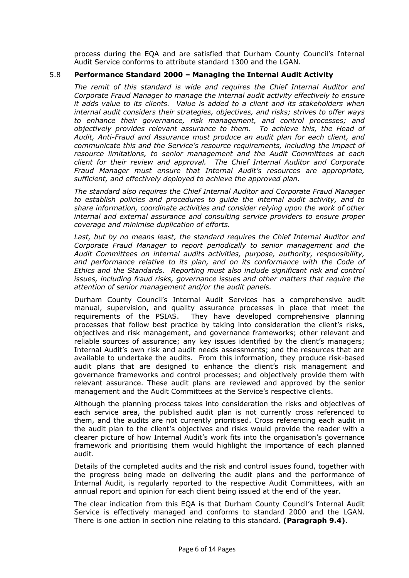process during the EQA and are satisfied that Durham County Council's Internal Audit Service conforms to attribute standard 1300 and the LGAN.

## 5.8 **Performance Standard 2000 – Managing the Internal Audit Activity**

*The remit of this standard is wide and requires the Chief Internal Auditor and Corporate Fraud Manager to manage the internal audit activity effectively to ensure it adds value to its clients. Value is added to a client and its stakeholders when internal audit considers their strategies, objectives, and risks; strives to offer ways to enhance their governance, risk management, and control processes; and objectively provides relevant assurance to them. To achieve this, the Head of Audit, Anti-Fraud and Assurance must produce an audit plan for each client, and communicate this and the Service's resource requirements, including the impact of resource limitations, to senior management and the Audit Committees at each client for their review and approval. The Chief Internal Auditor and Corporate Fraud Manager must ensure that Internal Audit's resources are appropriate, sufficient, and effectively deployed to achieve the approved plan.* 

*The standard also requires the Chief Internal Auditor and Corporate Fraud Manager to establish policies and procedures to guide the internal audit activity, and to share information, coordinate activities and consider relying upon the work of other internal and external assurance and consulting service providers to ensure proper coverage and minimise duplication of efforts.* 

Last, but by no means least, the standard requires the Chief Internal Auditor and *Corporate Fraud Manager to report periodically to senior management and the Audit Committees on internal audits activities, purpose, authority, responsibility, and performance relative to its plan, and on its conformance with the Code of Ethics and the Standards. Reporting must also include significant risk and control issues, including fraud risks, governance issues and other matters that require the attention of senior management and/or the audit panels.*

Durham County Council's Internal Audit Services has a comprehensive audit manual, supervision, and quality assurance processes in place that meet the requirements of the PSIAS. They have developed comprehensive planning processes that follow best practice by taking into consideration the client's risks, objectives and risk management, and governance frameworks; other relevant and reliable sources of assurance; any key issues identified by the client's managers; Internal Audit's own risk and audit needs assessments; and the resources that are available to undertake the audits. From this information, they produce risk-based audit plans that are designed to enhance the client's risk management and governance frameworks and control processes; and objectively provide them with relevant assurance. These audit plans are reviewed and approved by the senior management and the Audit Committees at the Service's respective clients.

Although the planning process takes into consideration the risks and objectives of each service area, the published audit plan is not currently cross referenced to them, and the audits are not currently prioritised. Cross referencing each audit in the audit plan to the client's objectives and risks would provide the reader with a clearer picture of how Internal Audit's work fits into the organisation's governance framework and prioritising them would highlight the importance of each planned audit.

Details of the completed audits and the risk and control issues found, together with the progress being made on delivering the audit plans and the performance of Internal Audit, is regularly reported to the respective Audit Committees, with an annual report and opinion for each client being issued at the end of the year.

The clear indication from this EQA is that Durham County Council's Internal Audit Service is effectively managed and conforms to standard 2000 and the LGAN. There is one action in section nine relating to this standard. **(Paragraph 9.4)**.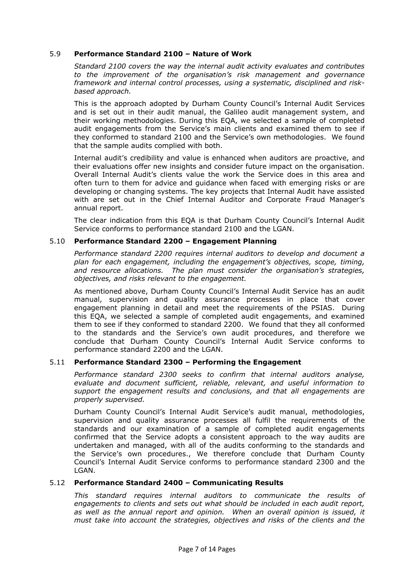### 5.9 **Performance Standard 2100 – Nature of Work**

*Standard 2100 covers the way the internal audit activity evaluates and contributes to the improvement of the organisation's risk management and governance framework and internal control processes, using a systematic, disciplined and riskbased approach.* 

This is the approach adopted by Durham County Council's Internal Audit Services and is set out in their audit manual, the Galileo audit management system, and their working methodologies. During this EQA, we selected a sample of completed audit engagements from the Service's main clients and examined them to see if they conformed to standard 2100 and the Service's own methodologies. We found that the sample audits complied with both.

Internal audit's credibility and value is enhanced when auditors are proactive, and their evaluations offer new insights and consider future impact on the organisation. Overall Internal Audit's clients value the work the Service does in this area and often turn to them for advice and guidance when faced with emerging risks or are developing or changing systems. The key projects that Internal Audit have assisted with are set out in the Chief Internal Auditor and Corporate Fraud Manager's annual report.

The clear indication from this EQA is that Durham County Council's Internal Audit Service conforms to performance standard 2100 and the LGAN.

### 5.10 **Performance Standard 2200 – Engagement Planning**

*Performance standard 2200 requires internal auditors to develop and document a plan for each engagement, including the engagement's objectives, scope, timing, and resource allocations. The plan must consider the organisation's strategies, objectives, and risks relevant to the engagement.* 

As mentioned above, Durham County Council's Internal Audit Service has an audit manual, supervision and quality assurance processes in place that cover engagement planning in detail and meet the requirements of the PSIAS. During this EQA, we selected a sample of completed audit engagements, and examined them to see if they conformed to standard 2200. We found that they all conformed to the standards and the Service's own audit procedures, and therefore we conclude that Durham County Council's Internal Audit Service conforms to performance standard 2200 and the LGAN.

#### 5.11 **Performance Standard 2300 – Performing the Engagement**

*Performance standard 2300 seeks to confirm that internal auditors analyse, evaluate and document sufficient, reliable, relevant, and useful information to support the engagement results and conclusions, and that all engagements are properly supervised.* 

Durham County Council's Internal Audit Service's audit manual, methodologies, supervision and quality assurance processes all fulfil the requirements of the standards and our examination of a sample of completed audit engagements confirmed that the Service adopts a consistent approach to the way audits are undertaken and managed, with all of the audits conforming to the standards and the Service's own procedures., We therefore conclude that Durham County Council's Internal Audit Service conforms to performance standard 2300 and the LGAN.

#### 5.12 **Performance Standard 2400 – Communicating Results**

*This standard requires internal auditors to communicate the results of engagements to clients and sets out what should be included in each audit report, as well as the annual report and opinion. When an overall opinion is issued, it must take into account the strategies, objectives and risks of the clients and the*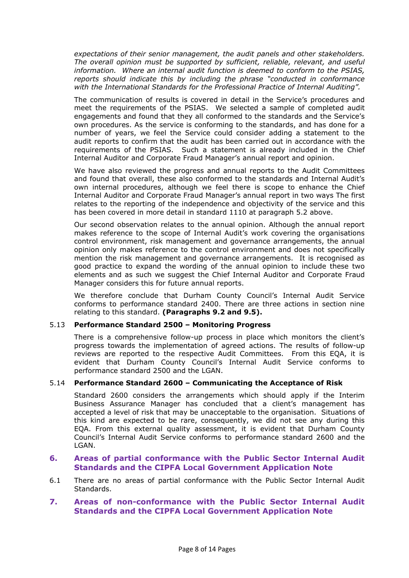*expectations of their senior management, the audit panels and other stakeholders. The overall opinion must be supported by sufficient, reliable, relevant, and useful information. Where an internal audit function is deemed to conform to the PSIAS, reports should indicate this by including the phrase "conducted in conformance with the International Standards for the Professional Practice of Internal Auditing".* 

The communication of results is covered in detail in the Service's procedures and meet the requirements of the PSIAS. We selected a sample of completed audit engagements and found that they all conformed to the standards and the Service's own procedures. As the service is conforming to the standards, and has done for a number of years, we feel the Service could consider adding a statement to the audit reports to confirm that the audit has been carried out in accordance with the requirements of the PSIAS. Such a statement is already included in the Chief Internal Auditor and Corporate Fraud Manager's annual report and opinion.

We have also reviewed the progress and annual reports to the Audit Committees and found that overall, these also conformed to the standards and Internal Audit's own internal procedures, although we feel there is scope to enhance the Chief Internal Auditor and Corporate Fraud Manager's annual report in two ways The first relates to the reporting of the independence and objectivity of the service and this has been covered in more detail in standard 1110 at paragraph 5.2 above.

Our second observation relates to the annual opinion. Although the annual report makes reference to the scope of Internal Audit's work covering the organisations control environment, risk management and governance arrangements, the annual opinion only makes reference to the control environment and does not specifically mention the risk management and governance arrangements. It is recognised as good practice to expand the wording of the annual opinion to include these two elements and as such we suggest the Chief Internal Auditor and Corporate Fraud Manager considers this for future annual reports.

We therefore conclude that Durham County Council's Internal Audit Service conforms to performance standard 2400. There are three actions in section nine relating to this standard. **(Paragraphs 9.2 and 9.5).**

#### 5.13 **Performance Standard 2500 – Monitoring Progress**

There is a comprehensive follow-up process in place which monitors the client's progress towards the implementation of agreed actions. The results of follow-up reviews are reported to the respective Audit Committees. From this EQA, it is evident that Durham County Council's Internal Audit Service conforms to performance standard 2500 and the LGAN.

#### 5.14 **Performance Standard 2600 – Communicating the Acceptance of Risk**

Standard 2600 considers the arrangements which should apply if the Interim Business Assurance Manager has concluded that a client's management has accepted a level of risk that may be unacceptable to the organisation. Situations of this kind are expected to be rare, consequently, we did not see any during this EQA. From this external quality assessment, it is evident that Durham County Council's Internal Audit Service conforms to performance standard 2600 and the LGAN.

### **6. Areas of partial conformance with the Public Sector Internal Audit Standards and the CIPFA Local Government Application Note**

6.1 There are no areas of partial conformance with the Public Sector Internal Audit Standards.

## **7. Areas of non-conformance with the Public Sector Internal Audit Standards and the CIPFA Local Government Application Note**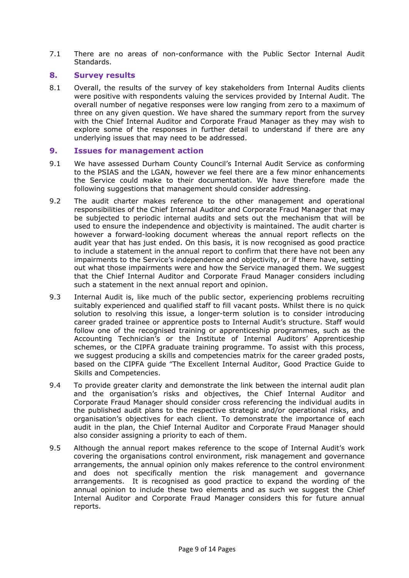7.1 There are no areas of non-conformance with the Public Sector Internal Audit Standards.

## **8. Survey results**

8.1 Overall, the results of the survey of key stakeholders from Internal Audits clients were positive with respondents valuing the services provided by Internal Audit. The overall number of negative responses were low ranging from zero to a maximum of three on any given question. We have shared the summary report from the survey with the Chief Internal Auditor and Corporate Fraud Manager as they may wish to explore some of the responses in further detail to understand if there are any underlying issues that may need to be addressed.

### **9. Issues for management action**

- 9.1 We have assessed Durham County Council's Internal Audit Service as conforming to the PSIAS and the LGAN, however we feel there are a few minor enhancements the Service could make to their documentation. We have therefore made the following suggestions that management should consider addressing.
- 9.2 The audit charter makes reference to the other management and operational responsibilities of the Chief Internal Auditor and Corporate Fraud Manager that may be subjected to periodic internal audits and sets out the mechanism that will be used to ensure the independence and objectivity is maintained. The audit charter is however a forward-looking document whereas the annual report reflects on the audit year that has just ended. On this basis, it is now recognised as good practice to include a statement in the annual report to confirm that there have not been any impairments to the Service's independence and objectivity, or if there have, setting out what those impairments were and how the Service managed them. We suggest that the Chief Internal Auditor and Corporate Fraud Manager considers including such a statement in the next annual report and opinion.
- 9.3 Internal Audit is, like much of the public sector, experiencing problems recruiting suitably experienced and qualified staff to fill vacant posts. Whilst there is no quick solution to resolving this issue, a longer-term solution is to consider introducing career graded trainee or apprentice posts to Internal Audit's structure. Staff would follow one of the recognised training or apprenticeship programmes, such as the Accounting Technician's or the Institute of Internal Auditors' Apprenticeship schemes, or the CIPFA graduate training programme. To assist with this process, we suggest producing a skills and competencies matrix for the career graded posts, based on the CIPFA guide "The Excellent Internal Auditor, Good Practice Guide to Skills and Competencies.
- 9.4 To provide greater clarity and demonstrate the link between the internal audit plan and the organisation's risks and objectives, the Chief Internal Auditor and Corporate Fraud Manager should consider cross referencing the individual audits in the published audit plans to the respective strategic and/or operational risks, and organisation's objectives for each client. To demonstrate the importance of each audit in the plan, the Chief Internal Auditor and Corporate Fraud Manager should also consider assigning a priority to each of them.
- 9.5 Although the annual report makes reference to the scope of Internal Audit's work covering the organisations control environment, risk management and governance arrangements, the annual opinion only makes reference to the control environment and does not specifically mention the risk management and governance arrangements. It is recognised as good practice to expand the wording of the annual opinion to include these two elements and as such we suggest the Chief Internal Auditor and Corporate Fraud Manager considers this for future annual reports.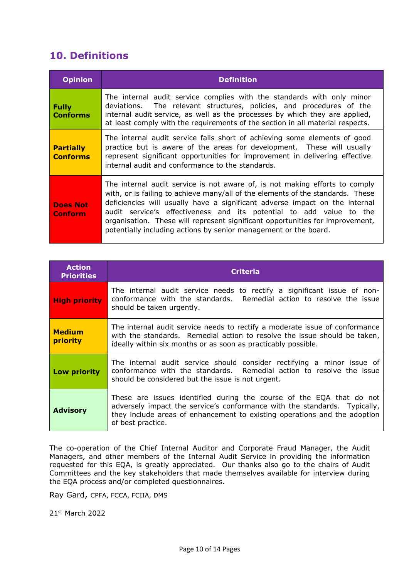# **10. Definitions**

| <b>Opinion</b>                      | <b>Definition</b>                                                                                                                                                                                                                                                                                                                                                                                                                                                         |
|-------------------------------------|---------------------------------------------------------------------------------------------------------------------------------------------------------------------------------------------------------------------------------------------------------------------------------------------------------------------------------------------------------------------------------------------------------------------------------------------------------------------------|
| <b>Fully</b><br><b>Conforms</b>     | The internal audit service complies with the standards with only minor<br>deviations. The relevant structures, policies, and procedures of the<br>internal audit service, as well as the processes by which they are applied,<br>at least comply with the requirements of the section in all material respects.                                                                                                                                                           |
| <b>Partially</b><br><b>Conforms</b> | The internal audit service falls short of achieving some elements of good<br>practice but is aware of the areas for development. These will usually<br>represent significant opportunities for improvement in delivering effective<br>internal audit and conformance to the standards.                                                                                                                                                                                    |
| <b>Does Not</b><br><b>Conform</b>   | The internal audit service is not aware of, is not making efforts to comply<br>with, or is failing to achieve many/all of the elements of the standards. These<br>deficiencies will usually have a significant adverse impact on the internal<br>audit service's effectiveness and its potential to add value to the<br>organisation. These will represent significant opportunities for improvement,<br>potentially including actions by senior management or the board. |

| <b>Action</b><br><b>Priorities</b> | <b>Criteria</b>                                                                                                                                                                                                                                     |  |  |
|------------------------------------|-----------------------------------------------------------------------------------------------------------------------------------------------------------------------------------------------------------------------------------------------------|--|--|
| <b>High priority</b>               | The internal audit service needs to rectify a significant issue of non-<br>conformance with the standards. Remedial action to resolve the issue<br>should be taken urgently.                                                                        |  |  |
| <b>Medium</b><br>priority          | The internal audit service needs to rectify a moderate issue of conformance<br>with the standards. Remedial action to resolve the issue should be taken,<br>ideally within six months or as soon as practicably possible.                           |  |  |
| Low priority                       | The internal audit service should consider rectifying a minor issue of<br>conformance with the standards. Remedial action to resolve the issue<br>should be considered but the issue is not urgent.                                                 |  |  |
| <b>Advisory</b>                    | These are issues identified during the course of the EQA that do not<br>adversely impact the service's conformance with the standards. Typically,<br>they include areas of enhancement to existing operations and the adoption<br>of best practice. |  |  |

The co-operation of the Chief Internal Auditor and Corporate Fraud Manager, the Audit Managers, and other members of the Internal Audit Service in providing the information requested for this EQA, is greatly appreciated. Our thanks also go to the chairs of Audit Committees and the key stakeholders that made themselves available for interview during the EQA process and/or completed questionnaires.

Ray Gard, CPFA, FCCA, FCIIA, DMS

21st March 2022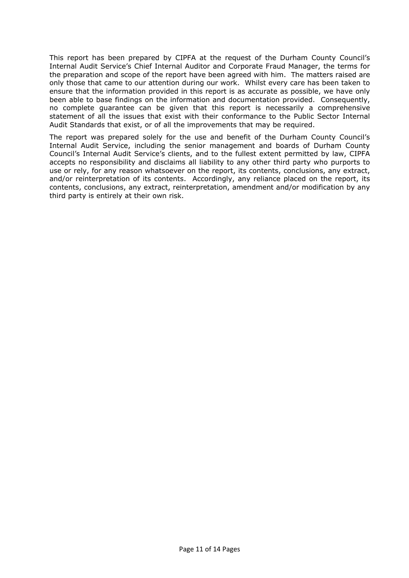This report has been prepared by CIPFA at the request of the Durham County Council's Internal Audit Service's Chief Internal Auditor and Corporate Fraud Manager, the terms for the preparation and scope of the report have been agreed with him. The matters raised are only those that came to our attention during our work. Whilst every care has been taken to ensure that the information provided in this report is as accurate as possible, we have only been able to base findings on the information and documentation provided. Consequently, no complete guarantee can be given that this report is necessarily a comprehensive statement of all the issues that exist with their conformance to the Public Sector Internal Audit Standards that exist, or of all the improvements that may be required.

The report was prepared solely for the use and benefit of the Durham County Council's Internal Audit Service, including the senior management and boards of Durham County Council's Internal Audit Service's clients, and to the fullest extent permitted by law, CIPFA accepts no responsibility and disclaims all liability to any other third party who purports to use or rely, for any reason whatsoever on the report, its contents, conclusions, any extract, and/or reinterpretation of its contents. Accordingly, any reliance placed on the report, its contents, conclusions, any extract, reinterpretation, amendment and/or modification by any third party is entirely at their own risk.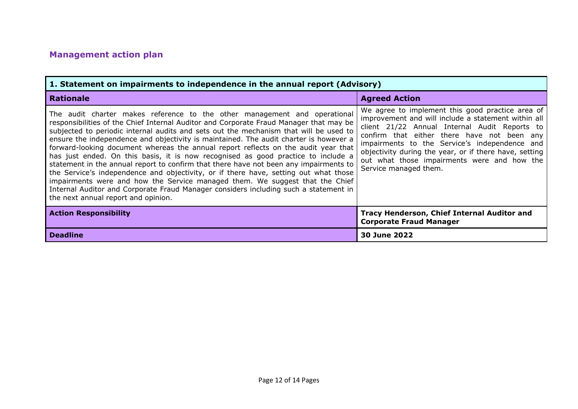# **Management action plan**

| 1. Statement on impairments to independence in the annual report (Advisory)                                                                                                                                                                                                                                                                                                                                                                                                                                                                                                                                                                                                                                                                                                                                                                                                                                                      |                                                                                                                                                                                                                                                                                                                                                                                            |  |  |
|----------------------------------------------------------------------------------------------------------------------------------------------------------------------------------------------------------------------------------------------------------------------------------------------------------------------------------------------------------------------------------------------------------------------------------------------------------------------------------------------------------------------------------------------------------------------------------------------------------------------------------------------------------------------------------------------------------------------------------------------------------------------------------------------------------------------------------------------------------------------------------------------------------------------------------|--------------------------------------------------------------------------------------------------------------------------------------------------------------------------------------------------------------------------------------------------------------------------------------------------------------------------------------------------------------------------------------------|--|--|
| <b>Rationale</b>                                                                                                                                                                                                                                                                                                                                                                                                                                                                                                                                                                                                                                                                                                                                                                                                                                                                                                                 | <b>Agreed Action</b>                                                                                                                                                                                                                                                                                                                                                                       |  |  |
| The audit charter makes reference to the other management and operational<br>responsibilities of the Chief Internal Auditor and Corporate Fraud Manager that may be<br>subjected to periodic internal audits and sets out the mechanism that will be used to<br>ensure the independence and objectivity is maintained. The audit charter is however a<br>forward-looking document whereas the annual report reflects on the audit year that<br>has just ended. On this basis, it is now recognised as good practice to include a<br>statement in the annual report to confirm that there have not been any impairments to<br>the Service's independence and objectivity, or if there have, setting out what those<br>impairments were and how the Service managed them. We suggest that the Chief<br>Internal Auditor and Corporate Fraud Manager considers including such a statement in<br>the next annual report and opinion. | We agree to implement this good practice area of<br>improvement and will include a statement within all<br>client 21/22 Annual Internal Audit Reports to<br>confirm that either there have not been any<br>impairments to the Service's independence and<br>objectivity during the year, or if there have, setting<br>out what those impairments were and how the<br>Service managed them. |  |  |
| <b>Action Responsibility</b>                                                                                                                                                                                                                                                                                                                                                                                                                                                                                                                                                                                                                                                                                                                                                                                                                                                                                                     | Tracy Henderson, Chief Internal Auditor and<br><b>Corporate Fraud Manager</b>                                                                                                                                                                                                                                                                                                              |  |  |
| <b>Deadline</b>                                                                                                                                                                                                                                                                                                                                                                                                                                                                                                                                                                                                                                                                                                                                                                                                                                                                                                                  | 30 June 2022                                                                                                                                                                                                                                                                                                                                                                               |  |  |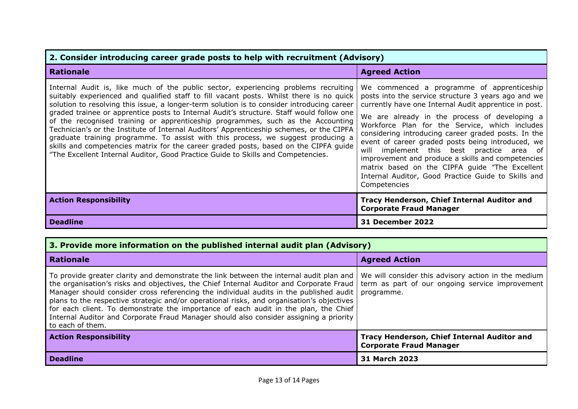| 2. Consider introducing career grade posts to help with recruitment (Advisory)                                                                                                                                                                                                                                                                                                                                                                                                                                                                                                                                                                                                                                                                                                                                          |                                                                                                                                                                                                                                                                                                                                                                                                                                                                                                                                                                                                      |  |  |
|-------------------------------------------------------------------------------------------------------------------------------------------------------------------------------------------------------------------------------------------------------------------------------------------------------------------------------------------------------------------------------------------------------------------------------------------------------------------------------------------------------------------------------------------------------------------------------------------------------------------------------------------------------------------------------------------------------------------------------------------------------------------------------------------------------------------------|------------------------------------------------------------------------------------------------------------------------------------------------------------------------------------------------------------------------------------------------------------------------------------------------------------------------------------------------------------------------------------------------------------------------------------------------------------------------------------------------------------------------------------------------------------------------------------------------------|--|--|
| <b>Rationale</b>                                                                                                                                                                                                                                                                                                                                                                                                                                                                                                                                                                                                                                                                                                                                                                                                        | <b>Agreed Action</b>                                                                                                                                                                                                                                                                                                                                                                                                                                                                                                                                                                                 |  |  |
| Internal Audit is, like much of the public sector, experiencing problems recruiting<br>suitably experienced and qualified staff to fill vacant posts. Whilst there is no quick<br>solution to resolving this issue, a longer-term solution is to consider introducing career<br>graded trainee or apprentice posts to Internal Audit's structure. Staff would follow one<br>of the recognised training or apprenticeship programmes, such as the Accounting<br>Technician's or the Institute of Internal Auditors' Apprenticeship schemes, or the CIPFA<br>graduate training programme. To assist with this process, we suggest producing a<br>skills and competencies matrix for the career graded posts, based on the CIPFA guide<br>"The Excellent Internal Auditor, Good Practice Guide to Skills and Competencies. | We commenced a programme of apprenticeship<br>posts into the service structure 3 years ago and we<br>currently have one Internal Audit apprentice in post.<br>We are already in the process of developing a<br>Workforce Plan for the Service, which includes<br>considering introducing career graded posts. In the<br>event of career graded posts being introduced, we<br>will implement this best practice area of<br>improvement and produce a skills and competencies<br>matrix based on the CIPFA guide "The Excellent<br>Internal Auditor, Good Practice Guide to Skills and<br>Competencies |  |  |
| <b>Action Responsibility</b>                                                                                                                                                                                                                                                                                                                                                                                                                                                                                                                                                                                                                                                                                                                                                                                            | <b>Tracy Henderson, Chief Internal Auditor and</b><br><b>Corporate Fraud Manager</b>                                                                                                                                                                                                                                                                                                                                                                                                                                                                                                                 |  |  |
| <b>Deadline</b>                                                                                                                                                                                                                                                                                                                                                                                                                                                                                                                                                                                                                                                                                                                                                                                                         | <b>31 December 2022</b>                                                                                                                                                                                                                                                                                                                                                                                                                                                                                                                                                                              |  |  |

| 3. Provide more information on the published internal audit plan (Advisory)                                                                                                                                                                                                                                                                                                                                                                                                                                                                                                    |                                                                                                                      |  |
|--------------------------------------------------------------------------------------------------------------------------------------------------------------------------------------------------------------------------------------------------------------------------------------------------------------------------------------------------------------------------------------------------------------------------------------------------------------------------------------------------------------------------------------------------------------------------------|----------------------------------------------------------------------------------------------------------------------|--|
| <b>Rationale</b>                                                                                                                                                                                                                                                                                                                                                                                                                                                                                                                                                               | <b>Agreed Action</b>                                                                                                 |  |
| To provide greater clarity and demonstrate the link between the internal audit plan and<br>the organisation's risks and objectives, the Chief Internal Auditor and Corporate Fraud<br>Manager should consider cross referencing the individual audits in the published audit<br>plans to the respective strategic and/or operational risks, and organisation's objectives<br>for each client. To demonstrate the importance of each audit in the plan, the Chief<br>Internal Auditor and Corporate Fraud Manager should also consider assigning a priority<br>to each of them. | We will consider this advisory action in the medium<br>term as part of our ongoing service improvement<br>programme. |  |
| <b>Action Responsibility</b>                                                                                                                                                                                                                                                                                                                                                                                                                                                                                                                                                   | Tracy Henderson, Chief Internal Auditor and<br><b>Corporate Fraud Manager</b>                                        |  |
| <b>Deadline</b>                                                                                                                                                                                                                                                                                                                                                                                                                                                                                                                                                                | 31 March 2023                                                                                                        |  |